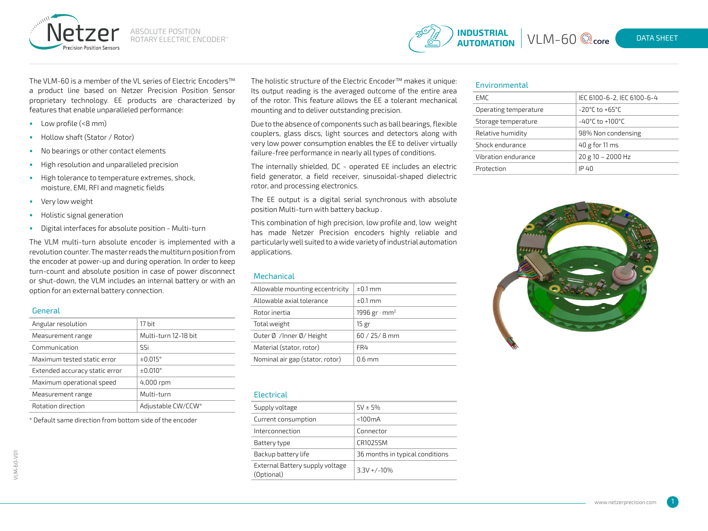



The VLM-60 is a member of the VL series of Electric Encoders™ a product line based on Netzer Precision Position Sensor proprietary technology. EE products are characterized by features that enable unparalleled performance:

- Low profile (<8 mm)
- Hollow shaft (Stator / Rotor)
- No bearings or other contact elements
- High resolution and unparalleled precision
- High tolerance to temperature extremes, shock, moisture, EMI, RFI and magnetic fields
- Very low weight
- Holistic signal generation
- Digital interfaces for absolute position Multi-turn

The VLM multi-turn absolute encoder is implemented with a revolution counter. The master reads the multiturn position from the encoder at power-up and during operation. In order to keep turn-count and absolute position in case of power disconnect or shut-down, the VLM includes an internal battery or with an option for an external battery connection.

#### General

| Angular resolution             | 17 bit               |
|--------------------------------|----------------------|
| Measurement range              | Multi-turn 12-18 bit |
| Communication                  | SSi                  |
| Maximum tested static error    | $\pm 0.015$ °        |
| Extended accuracy static error | $\pm 0.010^{\circ}$  |
| Maximum operational speed      | 4,000 rpm            |
| Measurement range              | Multi-turn           |
| Rotation direction             | Adjustable CW/CCW*   |

\* Default same direction from bottom side of the encoder

The holistic structure of the Electric Encoder™ makes it unique: Its output reading is the averaged outcome of the entire area of the rotor. This feature allows the EE a tolerant mechanical mounting and to deliver outstanding precision.

Due to the absence of components such as ball bearings, flexible couplers, glass discs, light sources and detectors along with very low power consumption enables the EE to deliver virtually failure-free performance in nearly all types of conditions.

The internally shielded, DC - operated EE includes an electric field generator, a field receiver, sinusoidal-shaped dielectric rotor, and processing electronics.

The EE output is a digital serial synchronous with absolute position Multi-turn with battery backup .

This combination of high precision, low profile and, low weight has made Netzer Precision encoders highly reliable and particularly well suited to a wide variety of industrial automation applications.

### **Mechanical**

| Allowable mounting eccentricity | $\pm 0.1$ mm                    |
|---------------------------------|---------------------------------|
| Allowable axial tolerance       | $\pm 0.1$ mm                    |
| Rotor inertia                   | 1996 gr $\cdot$ mm <sup>2</sup> |
| Total weight                    | 15 gr                           |
| Outer Ø /Inner Ø/ Height        | $60 / 25 / 8$ mm                |
| Material (stator, rotor)        | FR4                             |
| Nominal air gap (stator, rotor) | $0.6 \text{ mm}$                |

#### **Electrical**

| Supply voltage                                | $5V \pm 5%$                     |
|-----------------------------------------------|---------------------------------|
| Current consumption                           | $<$ 100 $mA$                    |
| Interconnection                               | Connector                       |
| Battery type                                  | CR1025SM                        |
| Backup battery life                           | 36 months in typical conditions |
| External Battery supply voltage<br>(Optional) | $3.3V + / -10\%$                |

#### Environmental

| EMC.                  | IEC 6100-6-2, IEC 6100-6-4           |
|-----------------------|--------------------------------------|
| Operating temperature | $-20^{\circ}$ C to $+65^{\circ}$ C   |
| Storage temperature   | $-40^{\circ}$ C to +100 $^{\circ}$ C |
| Relative humidity     | 98% Non condensing                   |
| Shock endurance       | $40$ g for 11 ms                     |
| Vibration endurance   | $20 g 10 - 2000 Hz$                  |
| Protection            | IP 40                                |
|                       |                                      |



1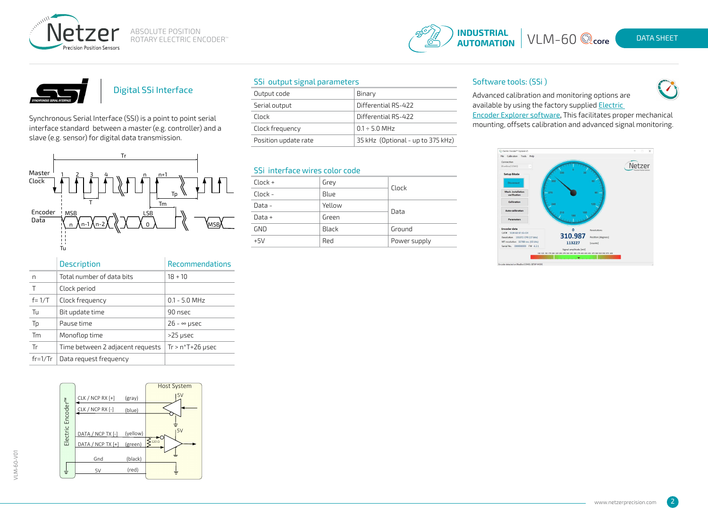





# Digital SSi Interface

Synchronous Serial Interface (SSI) is a point to point serial interface standard between a master (e.g. controller) and a slave (e.g. sensor) for digital data transmission.



|           | <b>Description</b>               | <b>Recommendations</b> |
|-----------|----------------------------------|------------------------|
| n         | Total number of data bits        | $18 + 10$              |
|           | Clock period                     |                        |
| $f = 1/T$ | Clock frequency                  | $0.1 - 5.0$ MHz        |
| Tu        | Bit update time                  | 90 nsec                |
| Tp        | Pause time                       | $26 - \infty$ µsec     |
| Tm        | Monoflop time                    | $>25$ µsec             |
| Tr        | Time between 2 adjacent requests | $Tr > n*T+26$ µsec     |
| $fr=1/Tr$ | Data request frequency           |                        |



## SSi output signal parameters

| Output code          | Binary                            |
|----------------------|-----------------------------------|
| Serial output        | Differential RS-422               |
| Clock                | Differential RS-422               |
| Clock frequency      | $0.1 \div 5.0$ MHz                |
| Position update rate | 35 kHz (Optional - up to 375 kHz) |

## SSi interface wires color code

| $Clock +$  | Grey         |              |
|------------|--------------|--------------|
| Clock -    | Blue         | Clock        |
| Data -     | Yellow       | Data         |
| Data $+$   | Green        |              |
| <b>GND</b> | <b>Black</b> | Ground       |
| $+5V$      | Red          | Power supply |

## Software tools: (SSi )



Advanced calibration and monitoring options are available by using the factory supplied **Electric** 

[Encoder Explorer software,](http://netzerprecision.com/s-w-tools/) This facilitates proper mechanical mounting, offsets calibration and advanced signal monitoring.



VLM-60-V01

 $\sqrt{2}$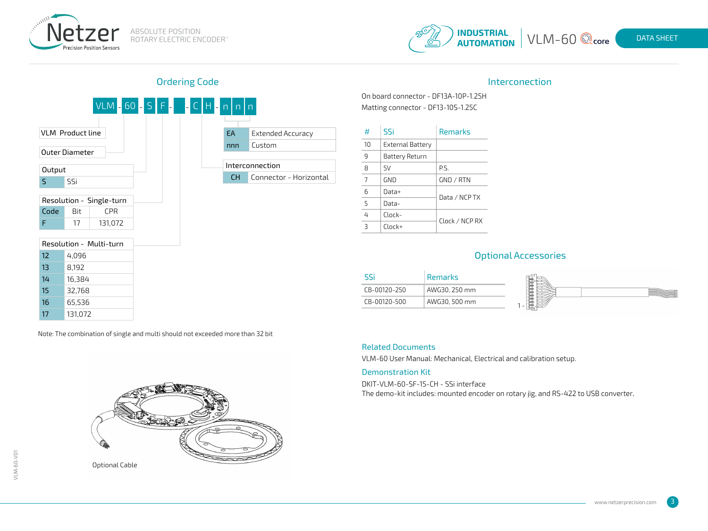



# Ordering Code and the Interconection of the Interconection of the Interconection



Note: The combination of single and multi should not exceeded more than 32 bit



On board connector - DF13A-10P-1.25H Matting connector - DF13-10S-1.25C

| #              | SSi              | <b>Remarks</b> |  |
|----------------|------------------|----------------|--|
| 10             | External Battery |                |  |
| q              | Battery Return   |                |  |
| 8              | 5V               | P.S.           |  |
| $\overline{7}$ | GND              | GND / RTN      |  |
| 6              | Data+            | Data / NCP TX  |  |
| 5              | Data-            |                |  |
| 4              | $Clock-$         | Clock / NCP RX |  |
| Β              | $Clock+$         |                |  |

## Optional Accessories

| SS'          | <b>Remarks</b> |         |
|--------------|----------------|---------|
| CB-00120-250 | AWG30, 250 mm  | 單質<br>- |
| CB-00120-500 | AWG30, 500 mm  |         |

### Related Documents

VLM-60 User Manual: Mechanical, Electrical and calibration setup.

#### Demonstration Kit

DKIT-VLM-60-SF-15-CH - SSi interface The demo-kit includes: mounted encoder on rotary jig, and RS-422 to USB converter.

3